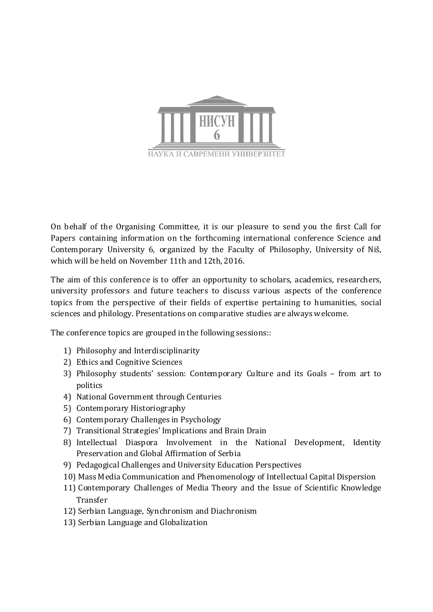

On behalf of the Organising Committee, it is our pleasure to send you the first Call for Papers containing information on the forthcoming international conference Science and Contemporary University 6, organized by the Faculty of Philosophy, University of Niš, which will be held on November 11th and 12th, 2016.

The aim of this conference is to offer an opportunity to scholars, academics, researchers, university professors and future teachers to discuss various aspects of the conference topics from the perspective of their fields of expertise pertaining to humanities, social sciences and philology. Presentations on comparative studies are always welcome.

The conference topics are grouped in the following sessions::

- 1) Philosophy and Interdisciplinarity
- 2) Ethics and Cognitive Sciences
- 3) Philosophy students' session: Contemporary Culture and its Goals from art to politics
- 4) National Government through Centuries
- 5) Contemporary Historiography
- 6) Contemporary Challenges in Psychology
- 7) Transitional Strategies' Implications and Brain Drain
- 8) Intellectual Diaspora Involvement in the National Development, Identity Preservation and Global Affirmation of Serbia
- 9) Pedagogical Challenges and University Education Perspectives
- 10) Mass Media Communication and Phenomenology of Intellectual Capital Dispersion
- 11) Contemporary Challenges of Media Theory and the Issue of Scientific Knowledge Transfer
- 12) Serbian Language, Synchronism and Diachronism
- 13) Serbian Language and Globalization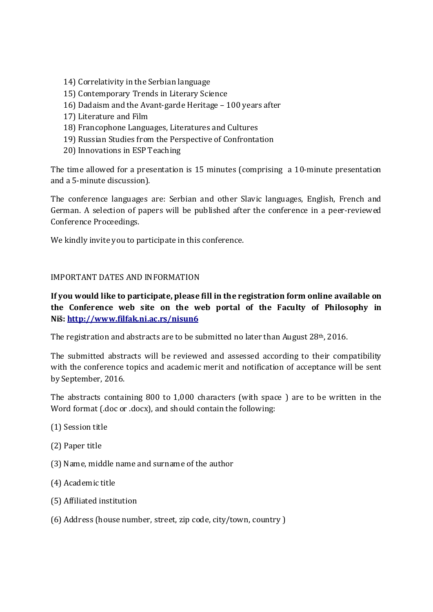- 14) Correlativity in the Serbian language
- 15) Contemporary Trends in Literary Science
- 16) Dadaism and the Avant-garde Heritage 100 years after
- 17) Literature and Film
- 18) Francophone Languages, Literatures and Cultures
- 19) Russian Studies from the Perspective of Confrontation
- 20) Innovations in ESP Teaching

The time allowed for a presentation is 15 minutes (comprising a 10-minute presentation and a 5-minute discussion).

The conference languages are: Serbian and other Slavic languages, English, French and German. A selection of papers will be published after the conference in a peer-reviewed Conference Proceedings.

We kindly invite you to participate in this conference.

## IMPORTANT DATES AND INFORMATION

## **If you would like to participate, please fill in the registration form online available on the Conference web site on the web portal of the Faculty of Philosophy in Niš: http://www.filfak.ni.ac.rs/nisun6**

The registration and abstracts are to be submitted no later than August 28th, 2016.

The submitted abstracts will be reviewed and assessed according to their compatibility with the conference topics and academic merit and notification of acceptance will be sent by September, 2016.

The abstracts containing 800 to 1,000 characters (with space ) are to be written in the Word format (.doc or .docx), and should contain the following:

- (1) Session title
- (2) Paper title
- (3) Name, middle name and surname of the author
- (4) Academic title
- (5) Affiliated institution
- (6) Address (house number, street, zip code, city/town, country )